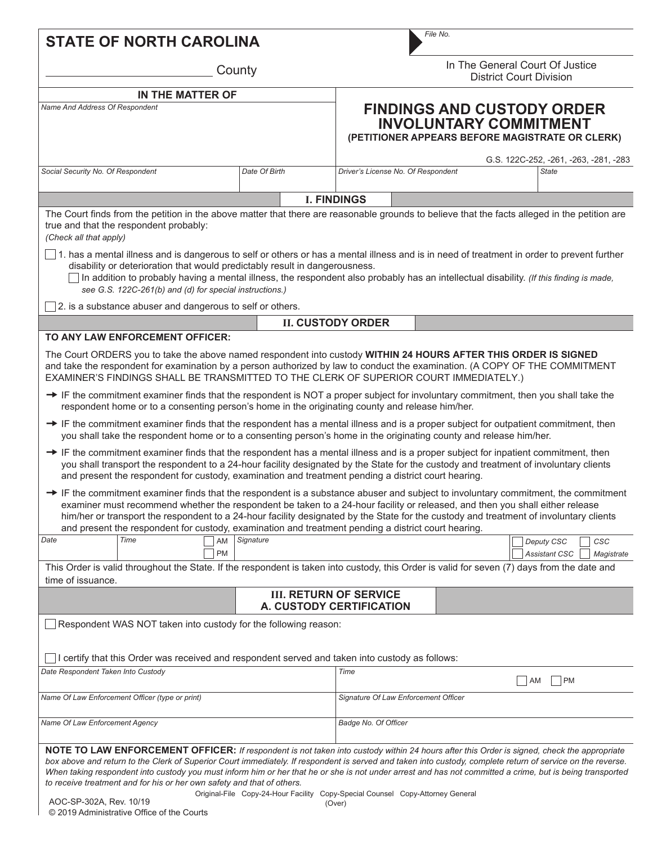| <b>STATE OF NORTH CAROLINA</b>                                                                                                                                                                                                                                                                                                                                                                                                                                                                                                  |               |                                                                                                                       | File No.                                                          |                                      |  |            |                                                       |
|---------------------------------------------------------------------------------------------------------------------------------------------------------------------------------------------------------------------------------------------------------------------------------------------------------------------------------------------------------------------------------------------------------------------------------------------------------------------------------------------------------------------------------|---------------|-----------------------------------------------------------------------------------------------------------------------|-------------------------------------------------------------------|--------------------------------------|--|------------|-------------------------------------------------------|
| County                                                                                                                                                                                                                                                                                                                                                                                                                                                                                                                          |               |                                                                                                                       | In The General Court Of Justice<br><b>District Court Division</b> |                                      |  |            |                                                       |
| <b>IN THE MATTER OF</b>                                                                                                                                                                                                                                                                                                                                                                                                                                                                                                         |               |                                                                                                                       |                                                                   |                                      |  |            |                                                       |
| Name And Address Of Respondent                                                                                                                                                                                                                                                                                                                                                                                                                                                                                                  |               | <b>FINDINGS AND CUSTODY ORDER</b><br><b>INVOLUNTARY COMMITMENT</b><br>(PETITIONER APPEARS BEFORE MAGISTRATE OR CLERK) |                                                                   |                                      |  |            |                                                       |
| Social Security No. Of Respondent                                                                                                                                                                                                                                                                                                                                                                                                                                                                                               | Date Of Birth |                                                                                                                       |                                                                   | Driver's License No. Of Respondent   |  |            | G.S. 122C-252, -261, -263, -281, -283<br><b>State</b> |
|                                                                                                                                                                                                                                                                                                                                                                                                                                                                                                                                 |               |                                                                                                                       |                                                                   |                                      |  |            |                                                       |
|                                                                                                                                                                                                                                                                                                                                                                                                                                                                                                                                 |               |                                                                                                                       | <b>I. FINDINGS</b>                                                |                                      |  |            |                                                       |
| The Court finds from the petition in the above matter that there are reasonable grounds to believe that the facts alleged in the petition are<br>true and that the respondent probably:<br>(Check all that apply)                                                                                                                                                                                                                                                                                                               |               |                                                                                                                       |                                                                   |                                      |  |            |                                                       |
| $\Box$ 1. has a mental illness and is dangerous to self or others or has a mental illness and is in need of treatment in order to prevent further<br>disability or deterioration that would predictably result in dangerousness.<br>In addition to probably having a mental illness, the respondent also probably has an intellectual disability. (If this finding is made,<br>see G.S. 122C-261(b) and (d) for special instructions.)                                                                                          |               |                                                                                                                       |                                                                   |                                      |  |            |                                                       |
| $\Box$ 2. is a substance abuser and dangerous to self or others.                                                                                                                                                                                                                                                                                                                                                                                                                                                                |               |                                                                                                                       |                                                                   |                                      |  |            |                                                       |
|                                                                                                                                                                                                                                                                                                                                                                                                                                                                                                                                 |               |                                                                                                                       | <b>II. CUSTODY ORDER</b>                                          |                                      |  |            |                                                       |
| TO ANY LAW ENFORCEMENT OFFICER:                                                                                                                                                                                                                                                                                                                                                                                                                                                                                                 |               |                                                                                                                       |                                                                   |                                      |  |            |                                                       |
| The Court ORDERS you to take the above named respondent into custody WITHIN 24 HOURS AFTER THIS ORDER IS SIGNED<br>and take the respondent for examination by a person authorized by law to conduct the examination. (A COPY OF THE COMMITMENT<br>EXAMINER'S FINDINGS SHALL BE TRANSMITTED TO THE CLERK OF SUPERIOR COURT IMMEDIATELY.)                                                                                                                                                                                         |               |                                                                                                                       |                                                                   |                                      |  |            |                                                       |
| → IF the commitment examiner finds that the respondent is NOT a proper subject for involuntary commitment, then you shall take the<br>respondent home or to a consenting person's home in the originating county and release him/her.                                                                                                                                                                                                                                                                                           |               |                                                                                                                       |                                                                   |                                      |  |            |                                                       |
| → IF the commitment examiner finds that the respondent has a mental illness and is a proper subject for outpatient commitment, then<br>you shall take the respondent home or to a consenting person's home in the originating county and release him/her.                                                                                                                                                                                                                                                                       |               |                                                                                                                       |                                                                   |                                      |  |            |                                                       |
| → IF the commitment examiner finds that the respondent has a mental illness and is a proper subject for inpatient commitment, then<br>you shall transport the respondent to a 24-hour facility designated by the State for the custody and treatment of involuntary clients<br>and present the respondent for custody, examination and treatment pending a district court hearing.                                                                                                                                              |               |                                                                                                                       |                                                                   |                                      |  |            |                                                       |
| $\rightarrow$ IF the commitment examiner finds that the respondent is a substance abuser and subject to involuntary commitment, the commitment<br>examiner must recommend whether the respondent be taken to a 24-hour facility or released, and then you shall either release<br>him/her or transport the respondent to a 24-hour facility designated by the State for the custody and treatment of involuntary clients<br>and present the respondent for custody, examination and treatment pending a district court hearing. |               |                                                                                                                       |                                                                   |                                      |  |            |                                                       |
| Date<br>Time<br>AM<br><b>PM</b>                                                                                                                                                                                                                                                                                                                                                                                                                                                                                                 | Signature     |                                                                                                                       |                                                                   |                                      |  | Deputy CSC | CSC<br>Assistant CSC<br>Magistrate                    |
| This Order is valid throughout the State. If the respondent is taken into custody, this Order is valid for seven (7) days from the date and<br>time of issuance.                                                                                                                                                                                                                                                                                                                                                                |               |                                                                                                                       |                                                                   |                                      |  |            |                                                       |
|                                                                                                                                                                                                                                                                                                                                                                                                                                                                                                                                 |               |                                                                                                                       | <b>III. RETURN OF SERVICE</b><br>A. CUSTODY CERTIFICATION         |                                      |  |            |                                                       |
| Respondent WAS NOT taken into custody for the following reason:                                                                                                                                                                                                                                                                                                                                                                                                                                                                 |               |                                                                                                                       |                                                                   |                                      |  |            |                                                       |
| I certify that this Order was received and respondent served and taken into custody as follows:                                                                                                                                                                                                                                                                                                                                                                                                                                 |               |                                                                                                                       |                                                                   |                                      |  |            |                                                       |
| Date Respondent Taken Into Custody                                                                                                                                                                                                                                                                                                                                                                                                                                                                                              |               |                                                                                                                       | Time                                                              |                                      |  |            |                                                       |
|                                                                                                                                                                                                                                                                                                                                                                                                                                                                                                                                 |               |                                                                                                                       |                                                                   |                                      |  | AM         | PM                                                    |
| Name Of Law Enforcement Officer (type or print)                                                                                                                                                                                                                                                                                                                                                                                                                                                                                 |               |                                                                                                                       |                                                                   | Signature Of Law Enforcement Officer |  |            |                                                       |
| Name Of Law Enforcement Agency                                                                                                                                                                                                                                                                                                                                                                                                                                                                                                  |               |                                                                                                                       | Badge No. Of Officer                                              |                                      |  |            |                                                       |
| NOTE TO LAW ENFORCEMENT OFFICER: If respondent is not taken into custody within 24 hours after this Order is signed, check the appropriate<br>box above and return to the Clerk of Superior Court immediately. If respondent is served and taken into custody, complete return of service on the reverse.<br>When taking respondent into custody you must inform him or her that he or she is not under arrest and has not committed a crime, but is being transported                                                          |               |                                                                                                                       |                                                                   |                                      |  |            |                                                       |

Original-File Copy-24-Hour Facility Copy-Special Counsel Copy-Attorney General AOC-SP-302A, Rev. 10/19

*to receive treatment and for his or her own safety and that of others.*